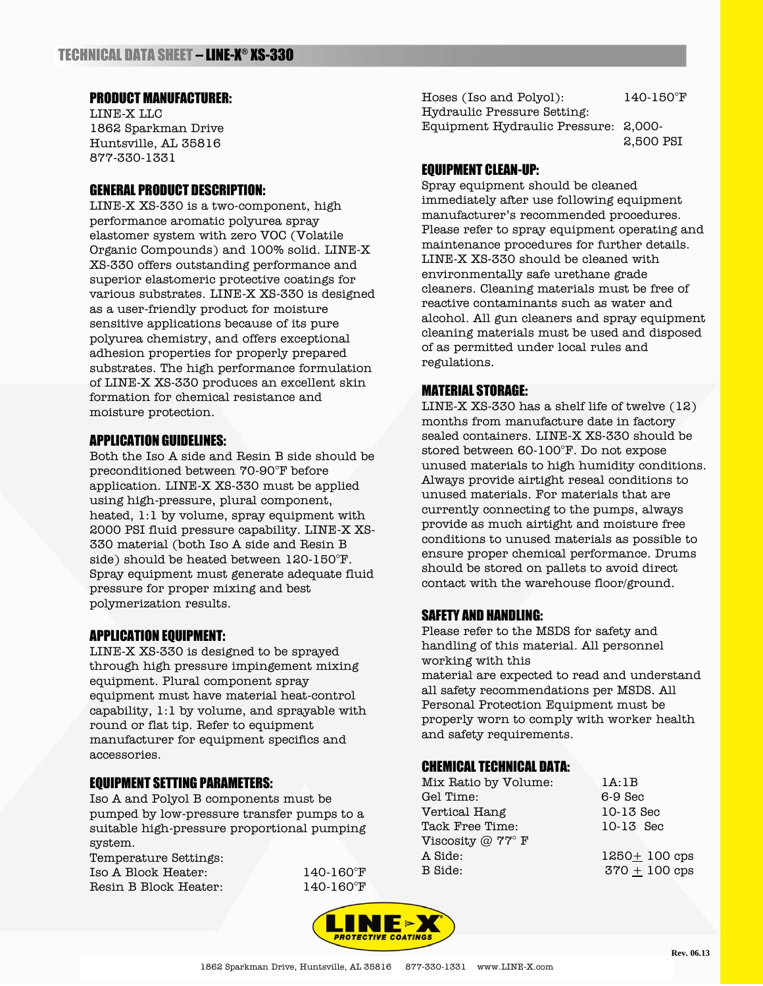# PRODUCT MANUFACTURER:

LINE-X LLC 1862 Sparkman Drive Huntsville, AL 35816 877-330-1331

# GENERAL PRODUCT DESCRIPTION:

LINE-X XS-330 is a two-component, high performance aromatic polyurea spray elastomer system with zero VOC (Volatile Organic Compounds) and 100% solid. LINE-X XS-330 offers outstanding performance and superior elastomeric protective coatings for various substrates. LINE-X XS-330 is designed as a user-friendly product for moisture sensitive applications because of its pure polyurea chemistry, and offers exceptional adhesion properties for properly prepared substrates. The high performance formulation of LINE-X XS-330 produces an excellent skin formation for chemical resistance and moisture protection.

### APPLICATION GUIDELINES:

Both the Iso A side and Resin B side should be preconditioned between 70-90°F before application. LINE-X XS-330 must be applied using high-pressure, plural component, heated, 1:1 by volume, spray equipment with 2000 PSI fluid pressure capability. LINE-X XS-330 material (both Iso A side and Resin B side) should be heated between 120-150°F. Spray equipment must generate adequate fluid pressure for proper mixing and best polymerization results.

### APPLICATION EQUIPMENT:

LINE-X XS-330 is designed to be sprayed through high pressure impingement mixing equipment. Plural component spray equipment must have material heat-control capability, 1:1 by volume, and sprayable with round or flat tip. Refer to equipment manufacturer for equipment specifics and accessories.

# EQUIPMENT SETTING PARAMETERS:

Iso A and Polyol B components must be pumped by low-pressure transfer pumps to a suitable high-pressure proportional pumping system.

Temperature Settings: Iso A Block Heater: 140-160°F Resin B Block Heater: 140-160°F

Hoses (Iso and Polyol): 140-150°F Hydraulic Pressure Setting: Equipment Hydraulic Pressure: 2,000- 2,500 PSI

# EQUIPMENT CLEAN-UP:

Spray equipment should be cleaned immediately after use following equipment manufacturer's recommended procedures. Please refer to spray equipment operating and maintenance procedures for further details. LINE-X XS-330 should be cleaned with environmentally safe urethane grade cleaners. Cleaning materials must be free of reactive contaminants such as water and alcohol. All gun cleaners and spray equipment cleaning materials must be used and disposed of as permitted under local rules and regulations.

# MATERIAL STORAGE:

LINE-X XS-330 has a shelf life of twelve (12) months from manufacture date in factory sealed containers. LINE-X XS-330 should be stored between 60-100°F. Do not expose unused materials to high humidity conditions. Always provide airtight reseal conditions to unused materials. For materials that are currently connecting to the pumps, always provide as much airtight and moisture free conditions to unused materials as possible to ensure proper chemical performance. Drums should be stored on pallets to avoid direct contact with the warehouse floor/ground.

#### SAFETY AND HANDLING:

Please refer to the MSDS for safety and handling of this material. All personnel working with this material are expected to read and understand all safety recommendations per MSDS. All Personal Protection Equipment must be properly worn to comply with worker health

# CHEMICAL TECHNICAL DATA:

and safety requirements.

| Mix Ratio by Volume: |  |
|----------------------|--|
| Gel Time:            |  |
| Vertical Hang        |  |
| Tack Free Time:      |  |
| Viscosity @ 77° F    |  |
| A Side:              |  |
| B Side:              |  |

 $1A:1B$  $6-9$  Sec 10-13 Sec 10-13 Sec  $1250 + 100$  cps  $370 + 100$  cps